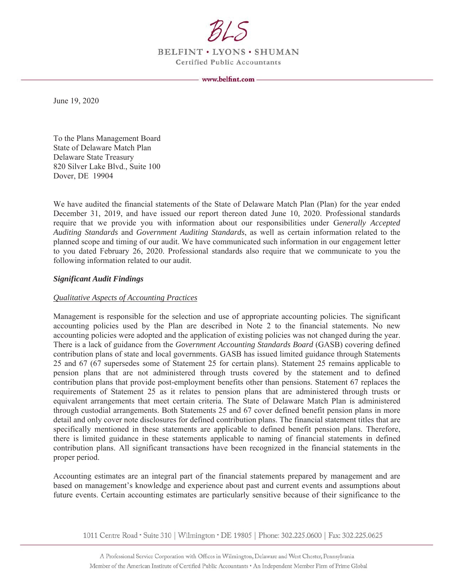

BELFINT . LYONS . SHUMAN **Certified Public Accountants** 

June 19, 2020

To the Plans Management Board **State of Delaware Match Plan** Delaware State Treasury 820 Silver Lake Blvd., Suite 100 Dover, DE 19904

We have audited the financial statements of the State of Delaware Match Plan (Plan) for the year ended December 31, 2019, and have issued our report thereon dated June 10, 2020. Professional standards require that we provide you with information about our responsibilities under Generally Accepted Auditing Standards and Government Auditing Standards, as well as certain information related to the planned scope and timing of our audit. We have communicated such information in our engagement letter to you dated February 26, 2020. Professional standards also require that we communicate to you the following information related to our audit.

### **Significant Audit Findings**

### **Qualitative Aspects of Accounting Practices**

Management is responsible for the selection and use of appropriate accounting policies. The significant accounting policies used by the Plan are described in Note 2 to the financial statements. No new accounting policies were adopted and the application of existing policies was not changed during the year. There is a lack of guidance from the *Government Accounting Standards Board* (GASB) covering defined contribution plans of state and local governments. GASB has issued limited guidance through Statements 25 and 67 (67 supersedes some of Statement 25 for certain plans). Statement 25 remains applicable to pension plans that are not administered through trusts covered by the statement and to defined contribution plans that provide post-employment benefits other than pensions. Statement 67 replaces the requirements of Statement 25 as it relates to pension plans that are administered through trusts or equivalent arrangements that meet certain criteria. The State of Delaware Match Plan is administered through custodial arrangements. Both Statements 25 and 67 cover defined benefit pension plans in more detail and only cover note disclosures for defined contribution plans. The financial statement titles that are specifically mentioned in these statements are applicable to defined benefit pension plans. Therefore, there is limited guidance in these statements applicable to naming of financial statements in defined contribution plans. All significant transactions have been recognized in the financial statements in the proper period.

Accounting estimates are an integral part of the financial statements prepared by management and are based on management's knowledge and experience about past and current events and assumptions about future events. Certain accounting estimates are particularly sensitive because of their significance to the

1011 Centre Road • Suite 310 | Wilmington • DE 19805 | Phone: 302.225.0600 | Fax: 302.225.0625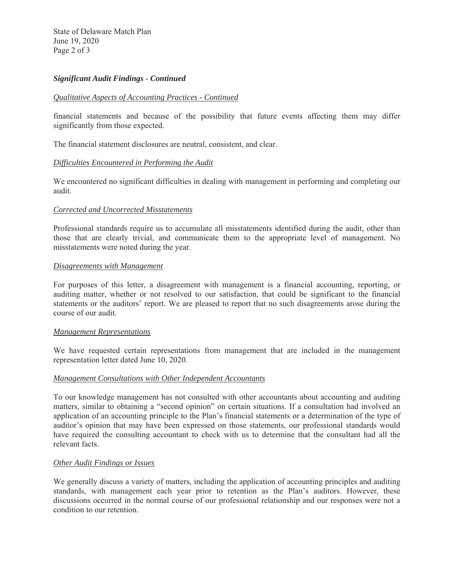State of Delaware Match Plan June 19, 2020 Page 2 of 3

# *Significant Audit Findings - Continued*

### *Qualitative Aspects of Accounting Practices - Continued*

financial statements and because of the possibility that future events affecting them may differ significantly from those expected.

The financial statement disclosures are neutral, consistent, and clear.

### *Difficulties Encountered in Performing the Audit*

We encountered no significant difficulties in dealing with management in performing and completing our audit.

### *Corrected and Uncorrected Misstatements*

Professional standards require us to accumulate all misstatements identified during the audit, other than those that are clearly trivial, and communicate them to the appropriate level of management. No misstatements were noted during the year.

### *Disagreements with Management*

For purposes of this letter, a disagreement with management is a financial accounting, reporting, or auditing matter, whether or not resolved to our satisfaction, that could be significant to the financial statements or the auditors' report. We are pleased to report that no such disagreements arose during the course of our audit.

### *Management Representations*

We have requested certain representations from management that are included in the management representation letter dated June 10, 2020.

### *Management Consultations with Other Independent Accountants*

To our knowledge management has not consulted with other accountants about accounting and auditing matters, similar to obtaining a "second opinion" on certain situations. If a consultation had involved an application of an accounting principle to the Plan's financial statements or a determination of the type of auditor's opinion that may have been expressed on those statements, our professional standards would have required the consulting accountant to check with us to determine that the consultant had all the relevant facts.

### *Other Audit Findings or Issues*

We generally discuss a variety of matters, including the application of accounting principles and auditing standards, with management each year prior to retention as the Plan's auditors. However, these discussions occurred in the normal course of our professional relationship and our responses were not a condition to our retention.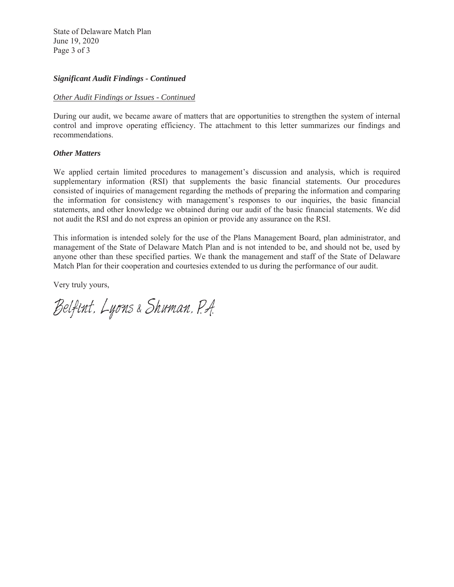State of Delaware Match Plan June 19, 2020 Page 3 of 3

# *Significant Audit Findings - Continued*

### *Other Audit Findings or Issues - Continued*

During our audit, we became aware of matters that are opportunities to strengthen the system of internal control and improve operating efficiency. The attachment to this letter summarizes our findings and recommendations.

### *Other Matters*

We applied certain limited procedures to management's discussion and analysis, which is required supplementary information (RSI) that supplements the basic financial statements. Our procedures consisted of inquiries of management regarding the methods of preparing the information and comparing the information for consistency with management's responses to our inquiries, the basic financial statements, and other knowledge we obtained during our audit of the basic financial statements. We did not audit the RSI and do not express an opinion or provide any assurance on the RSI.

This information is intended solely for the use of the Plans Management Board, plan administrator, and management of the State of Delaware Match Plan and is not intended to be, and should not be, used by anyone other than these specified parties. We thank the management and staff of the State of Delaware Match Plan for their cooperation and courtesies extended to us during the performance of our audit.

Very truly yours,

Belfint, Lyons & Shuman, P.A.